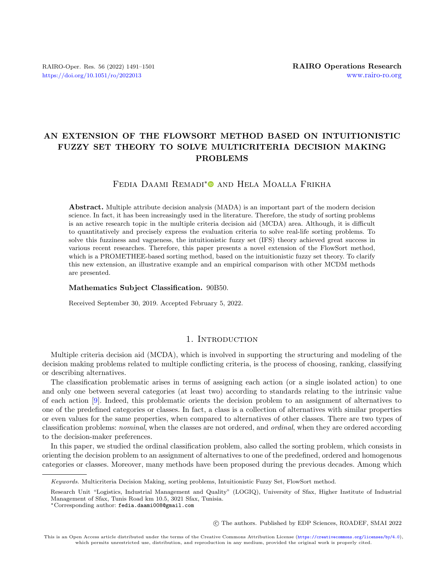# AN EXTENSION OF THE FLOWSORT METHOD BASED ON INTUITIONISTIC FUZZY SET THEORY TO SOLVE MULTICRITERIA DECISION MAKING PROBLEMS

# FEDIA DAAMI REMADI<sup>[\\*](https://orcid.org/0000-0003-3635-9819)</sup> and HELA MOALLA FRIKHA

Abstract. Multiple attribute decision analysis (MADA) is an important part of the modern decision science. In fact, it has been increasingly used in the literature. Therefore, the study of sorting problems is an active research topic in the multiple criteria decision aid (MCDA) area. Although, it is difficult to quantitatively and precisely express the evaluation criteria to solve real-life sorting problems. To solve this fuzziness and vagueness, the intuitionistic fuzzy set (IFS) theory achieved great success in various recent researches. Therefore, this paper presents a novel extension of the FlowSort method, which is a PROMETHEE-based sorting method, based on the intuitionistic fuzzy set theory. To clarify this new extension, an illustrative example and an empirical comparison with other MCDM methods are presented.

#### Mathematics Subject Classification. 90B50.

Received September 30, 2019. Accepted February 5, 2022.

## 1. INTRODUCTION

Multiple criteria decision aid (MCDA), which is involved in supporting the structuring and modeling of the decision making problems related to multiple conflicting criteria, is the process of choosing, ranking, classifying or describing alternatives.

The classification problematic arises in terms of assigning each action (or a single isolated action) to one and only one between several categories (at least two) according to standards relating to the intrinsic value of each action [\[9\]](#page-9-0). Indeed, this problematic orients the decision problem to an assignment of alternatives to one of the predefined categories or classes. In fact, a class is a collection of alternatives with similar properties or even values for the same properties, when compared to alternatives of other classes. There are two types of classification problems: nominal, when the classes are not ordered, and ordinal, when they are ordered according to the decision-maker preferences.

In this paper, we studied the ordinal classification problem, also called the sorting problem, which consists in orienting the decision problem to an assignment of alternatives to one of the predefined, ordered and homogenous categories or classes. Moreover, many methods have been proposed during the previous decades. Among which

○c The authors. Published by EDP Sciences, ROADEF, SMAI 2022

Keywords. Multicriteria Decision Making, sorting problems, Intuitionistic Fuzzy Set, FlowSort method.

Research Unit "Logistics, Industrial Management and Quality" (LOGIQ), University of Sfax, Higher Institute of Industrial Management of Sfax, Tunis Road km 10.5, 3021 Sfax, Tunisia.

<sup>\*</sup>Corresponding author: [fedia.daami008@gmail.com](mailto:fedia.daami008@gmail.com)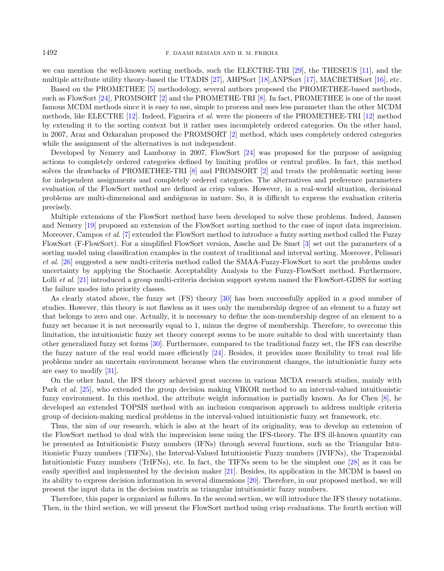we can mention the well-known sorting methods, such the ELECTRE-TRI [\[29\]](#page-10-0), the THESEUS [\[11\]](#page-9-1), and the multiple attribute utility theory-based the UTADIS [\[27\]](#page-10-1), AHPSort [\[18\]](#page-10-2),ANPSort [\[17\]](#page-10-3), MACBETHSort [\[16\]](#page-10-4), etc.

Based on the PROMETHEE [\[5\]](#page-9-2) methodology, several authors proposed the PROMETHEE-based methods, such as FlowSort [\[24\]](#page-10-5), PROMSORT [\[2\]](#page-9-3) and the PROMETHE-TRI [\[8\]](#page-9-4). In fact, PROMETHEE is one of the most famous MCDM methods since it is easy to use, simple to process and uses less parameter than the other MCDM methods, like ELECTRE [\[12\]](#page-10-6). Indeed, Figueira et al. were the pioneers of the PROMETHEE-TRI [\[12\]](#page-10-6) method by extending it to the sorting context but it rather uses incompletely ordered categories. On the other hand, in 2007, Araz and Ozkarahan proposed the PROMSORT [\[2\]](#page-9-3) method, which uses completely ordered categories while the assignment of the alternatives is not independent.

Developed by Nemery and Lamboray in 2007, FlowSort [\[24\]](#page-10-5) was proposed for the purpose of assigning actions to completely ordered categories defined by limiting profiles or central profiles. In fact, this method solves the drawbacks of PROMETHEE-TRI [\[8\]](#page-9-4) and PROMSORT [\[2\]](#page-9-3) and treats the problematic sorting issue for independent assignments and completely ordered categories. The alternatives and preference parameters evaluation of the FlowSort method are defined as crisp values. However, in a real-world situation, decisional problems are multi-dimensional and ambiguous in nature. So, it is difficult to express the evaluation criteria precisely.

Multiple extensions of the FlowSort method have been developed to solve these problems. Indeed, Janssen and Nemery [\[19\]](#page-10-7) proposed an extension of the FlowSort sorting method to the case of input data imprecision. Moreover, Campos et al. [\[7\]](#page-9-5) extended the FlowSort method to introduce a fuzzy sorting method called the Fuzzy FlowSort (F-FlowSort). For a simplified FlowSort version, Assche and De Smet [\[3\]](#page-9-6) set out the parameters of a sorting model using classification examples in the context of traditional and interval sorting. Moreover, Pelissari et al. [\[26\]](#page-10-8) suggested a new multi-criteria method called the SMAA-Fuzzy-FlowSort to sort the problems under uncertainty by applying the Stochastic Acceptability Analysis to the Fuzzy-FlowSort method. Furthermore, Lolli *et al.* [\[21\]](#page-10-9) introduced a group multi-criteria decision support system named the FlowSort-GDSS for sorting the failure modes into priority classes.

As clearly stated above, the fuzzy set (FS) theory [\[30\]](#page-10-10) has been successfully applied in a good number of studies. However, this theory is not flawless as it uses only the membership degree of an element to a fuzzy set that belongs to zero and one. Actually, it is necessary to define the non-membership degree of an element to a fuzzy set because it is not necessarily equal to 1, minus the degree of membership. Therefore, to overcome this limitation, the intuitionistic fuzzy set theory concept seems to be more suitable to deal with uncertainty than other generalized fuzzy set forms [\[30\]](#page-10-10). Furthermore, compared to the traditional fuzzy set, the IFS can describe the fuzzy nature of the real world more efficiently [\[24\]](#page-10-5). Besides, it provides more flexibility to treat real life problems under an uncertain environment because when the environment changes, the intuitionistic fuzzy sets are easy to modify [\[31\]](#page-10-11).

On the other hand, the IFS theory achieved great success in various MCDA research studies, mainly with Park et al. [\[25\]](#page-10-12), who extended the group decision making VIKOR method to an interval-valued intuitionistic fuzzy environment. In this method, the attribute weight information is partially known. As for Chen [\[8\]](#page-9-4), he developed an extended TOPSIS method with an inclusion comparison approach to address multiple criteria group of decision-making medical problems in the interval-valued intuitionistic fuzzy set framework, etc.

Thus, the aim of our research, which is also at the heart of its originality, was to develop an extension of the FlowSort method to deal with the imprecision issue using the IFS-theory. The IFS ill-known quantity can be presented as Intuitionistic Fuzzy numbers (IFNs) through several functions, such as the Triangular Intuitionistic Fuzzy numbers (TIFNs), the Interval-Valued Intuitionistic Fuzzy numbers (IVIFNs), the Trapezoidal Intuitionistic Fuzzy numbers (TrIFNs), etc. In fact, the TIFNs seem to be the simplest one [\[28\]](#page-10-13) as it can be easily specified and implemented by the decision maker [\[21\]](#page-10-9). Besides, its application in the MCDM is based on its ability to express decision information in several dimensions [\[20\]](#page-10-14). Therefore, in our proposed method, we will present the input data in the decision matrix as triangular intuitionistic fuzzy numbers.

Therefore, this paper is organized as follows. In the second section, we will introduce the IFS theory notations. Then, in the third section, we will present the FlowSort method using crisp evaluations. The fourth section will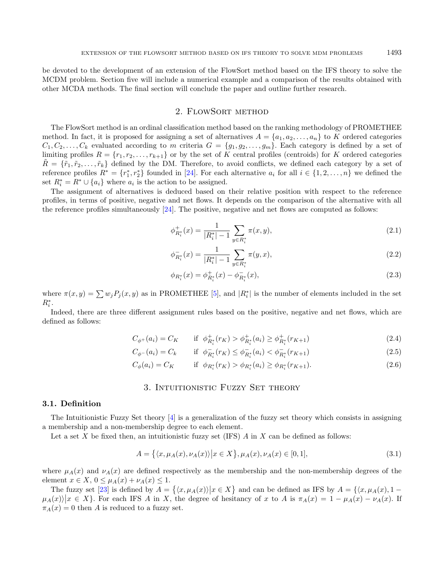be devoted to the development of an extension of the FlowSort method based on the IFS theory to solve the MCDM problem. Section five will include a numerical example and a comparison of the results obtained with other MCDA methods. The final section will conclude the paper and outline further research.

## 2. FlowSort method

The FlowSort method is an ordinal classification method based on the ranking methodology of PROMETHEE method. In fact, it is proposed for assigning a set of alternatives  $A = \{a_1, a_2, \ldots, a_n\}$  to K ordered categories  $C_1, C_2, \ldots, C_k$  evaluated according to m criteria  $G = \{g_1, g_2, \ldots, g_m\}$ . Each category is defined by a set of limiting profiles  $R = \{r_1, r_2, \ldots, r_{k+1}\}\$  or by the set of K central profiles (centroids) for K ordered categories  $\hat{R} = \{\tilde{r}_1, \tilde{r}_2, \ldots, \tilde{r}_k\}$  defined by the DM. Therefore, to avoid conflicts, we defined each category by a set of reference profiles  $R^* = \{r_1^*, r_2^*\}$  founded in [\[24\]](#page-10-5). For each alternative  $a_i$  for all  $i \in \{1, 2, ..., n\}$  we defined the set  $R_i^* = R^* \cup \{a_i\}$  where  $a_i$  is the action to be assigned.

The assignment of alternatives is deduced based on their relative position with respect to the reference profiles, in terms of positive, negative and net flows. It depends on the comparison of the alternative with all the reference profiles simultaneously [\[24\]](#page-10-5). The positive, negative and net flows are computed as follows:

$$
\phi_{R_i^*}^+(x) = \frac{1}{|R_i^*| - 1} \sum_{y \in R_i^*} \pi(x, y),\tag{2.1}
$$

$$
\phi_{R_i^*}^-(x) = \frac{1}{|R_i^*| - 1} \sum_{y \in R_i^*} \pi(y, x),\tag{2.2}
$$

$$
\phi_{R_i^*}(x) = \phi_{R_i^*}^+(x) - \phi_{R_i^*}^-(x),\tag{2.3}
$$

where  $\pi(x, y) = \sum w_j P_j(x, y)$  as in PROMETHEE [\[5\]](#page-9-2), and  $|R_i^*|$  is the number of elements included in the set  $R_i^*$ .

Indeed, there are three different assignment rules based on the positive, negative and net flows, which are defined as follows:

$$
C_{\phi^+}(a_i) = C_K \qquad \text{if} \ \phi^+_{R_i^*}(r_K) > \phi^+_{R_i^*}(a_i) \ge \phi^+_{R_i^*}(r_{K+1}) \tag{2.4}
$$

$$
C_{\phi^{-}}(a_{i}) = C_{k} \qquad \text{if} \ \ \phi_{R_{i}^{*}}^{-}(r_{K}) \leq \phi_{R_{i}^{*}}^{-}(a_{i}) < \phi_{R_{i}^{*}}^{-}(r_{K+1}) \tag{2.5}
$$

$$
C_{\phi}(a_i) = C_K \qquad \text{if} \ \phi_{R_i^*}(r_K) > \phi_{R_i^*}(a_i) \ge \phi_{R_i^*}(r_{K+1}). \tag{2.6}
$$

#### 3. INTUITIONISTIC FUZZY SET THEORY

#### 3.1. Definition

The Intuitionistic Fuzzy Set theory [\[4\]](#page-9-7) is a generalization of the fuzzy set theory which consists in assigning a membership and a non-membership degree to each element.

Let a set X be fixed then, an intuitionistic fuzzy set (IFS)  $\tilde{A}$  in  $\tilde{X}$  can be defined as follows:

$$
A = \{ \langle x, \mu_A(x), \nu_A(x) \rangle \big| x \in X \}, \mu_A(x), \nu_A(x) \in [0, 1], \tag{3.1}
$$

where  $\mu_A(x)$  and  $\nu_A(x)$  are defined respectively as the membership and the non-membership degrees of the element  $x \in X$ ,  $0 \leq \mu_A(x) + \nu_A(x) \leq 1$ .

The fuzzy set [\[23\]](#page-10-15) is defined by  $A = \{ \langle x, \mu_A(x) \rangle | x \in X \}$  and can be defined as IFS by  $A = \{ \langle x, \mu_A(x), 1 - \langle x, \mu_B(x), 1 \rangle | x \in X \}$  $\mu_A(x)$   $|x \in X$ . For each IFS A in X, the degree of hesitancy of x to A is  $\pi_A(x) = 1 - \mu_A(x) - \nu_A(x)$ . If  $\pi_A(x) = 0$  then A is reduced to a fuzzy set.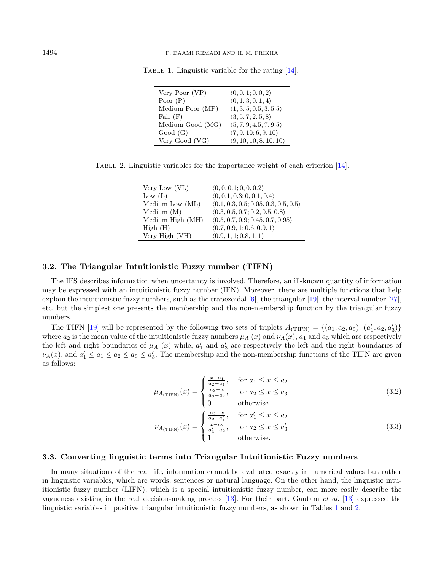| Very Poor (VP)   | $\langle 0,0,1;0,0,2 \rangle$          |
|------------------|----------------------------------------|
| Poor $(P)$       | (0, 1, 3; 0, 1, 4)                     |
| Medium Poor (MP) | $\langle 1, 3, 5; 0.5, 3, 5.5 \rangle$ |
| Fair $(F)$       | $\langle 3, 5, 7; 2, 5, 8 \rangle$     |
| Medium Good (MG) | $\langle 5, 7, 9, 4.5, 7, 9.5 \rangle$ |
| Good(G)          | (7, 9, 10; 6, 9, 10)                   |
| Very Good (VG)   | (9, 10, 10; 8, 10, 10)                 |

<span id="page-3-1"></span><span id="page-3-0"></span>Table 1. Linguistic variable for the rating [\[14\]](#page-10-16).

Table 2. Linguistic variables for the importance weight of each criterion [\[14\]](#page-10-16).

| Very Low (VL)    | (0, 0, 0.1; 0, 0, 0.2)               |
|------------------|--------------------------------------|
| Low $(L)$        | (0, 0.1, 0.3; 0, 0.1, 0.4)           |
| Medium Low (ML)  | (0.1, 0.3, 0.5; 0.05, 0.3, 0.5, 0.5) |
| Median(M)        | (0.3, 0.5, 0.7; 0.2, 0.5, 0.8)       |
| Medium High (MH) | (0.5, 0.7, 0.9; 0.45, 0.7, 0.95)     |
| High(H)          | (0.7, 0.9, 1; 0.6, 0.9, 1)           |
| Very High (VH)   | (0.9, 1, 1; 0.8, 1, 1)               |

#### 3.2. The Triangular Intuitionistic Fuzzy number (TIFN)

The IFS describes information when uncertainty is involved. Therefore, an ill-known quantity of information may be expressed with an intuitionistic fuzzy number (IFN). Moreover, there are multiple functions that help explain the intuitionistic fuzzy numbers, such as the trapezoidal  $[6]$ , the triangular [\[19\]](#page-10-7), the interval number [\[27\]](#page-10-1), etc. but the simplest one presents the membership and the non-membership function by the triangular fuzzy numbers.

The TIFN [\[19\]](#page-10-7) will be represented by the following two sets of triplets  $A_{\text{(TIFN)}} = \{(a_1, a_2, a_3)\colon (a'_1, a_2, a'_3)\}$ where  $a_2$  is the mean value of the intuitionistic fuzzy numbers  $\mu_A(x)$  and  $\nu_A(x)$ ,  $a_1$  and  $a_3$  which are respectively the left and right boundaries of  $\mu_A(x)$  while,  $a'_1$  and  $a'_3$  are respectively the left and the right boundaries of  $\nu_A(x)$ , and  $a'_1 \le a_1 \le a_2 \le a_3 \le a'_3$ . The membership and the non-membership functions of the TIFN are given as follows:

$$
\mu_{A_{(\text{TIFN})}}(x) = \begin{cases} \frac{x - a_1}{a_2 - a_1}, & \text{for } a_1 \le x \le a_2\\ \frac{a_3 - x}{a_3 - a_2}, & \text{for } a_2 \le x \le a_3\\ 0 & \text{otherwise} \end{cases}
$$
(3.2)

$$
\nu_{A_{\text{(TIFN)}}}(x) = \begin{cases} \frac{a_2 - x}{a_2 - a'_1}, & \text{for } a'_1 \le x \le a_2\\ \frac{x - a_2}{a'_3 - a_2}, & \text{for } a_2 \le x \le a'_3\\ 1 & \text{otherwise.} \end{cases}
$$
(3.3)

#### 3.3. Converting linguistic terms into Triangular Intuitionistic Fuzzy numbers

In many situations of the real life, information cannot be evaluated exactly in numerical values but rather in linguistic variables, which are words, sentences or natural language. On the other hand, the linguistic intuitionistic fuzzy number (LIFN), which is a special intuitionistic fuzzy number, can more easily describe the vagueness existing in the real decision-making process [\[13\]](#page-10-17). For their part, Gautam et al. [\[13\]](#page-10-17) expressed the linguistic variables in positive triangular intuitionistic fuzzy numbers, as shown in Tables [1](#page-3-0) and [2.](#page-3-1)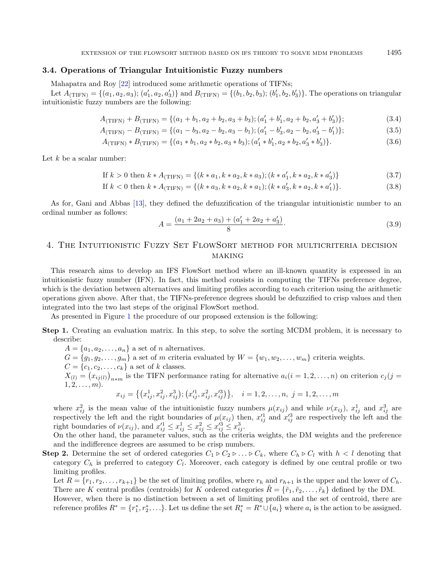### 3.4. Operations of Triangular Intuitionistic Fuzzy numbers

Mahapatra and Roy [\[22\]](#page-10-18) introduced some arithmetic operations of TIFNs;

Let  $A_{\text{(TIFN)}} = \{(a_1, a_2, a_3); (a'_1, a_2, a'_3)\}$  and  $B_{\text{(TIFN)}} = \{(b_1, b_2, b_3); (b'_1, b_2, b'_3)\}.$  The operations on triangular intuitionistic fuzzy numbers are the following:

$$
A_{\text{(TIFN)}} + B_{\text{(TIFN)}} = \{ (a_1 + b_1, a_2 + b_2, a_3 + b_3); (a'_1 + b'_1, a_2 + b_2, a'_3 + b'_3) \};
$$
\n(3.4)

$$
A_{\text{(TIFN)}} - B_{\text{(TIFN)}} = \{ (a_1 - b_3, a_2 - b_2, a_3 - b_1); (a'_1 - b'_3, a_2 - b_2, a'_3 - b'_1) \};
$$
\n(3.5)

$$
A_{\text{(TIFN)}} * B_{\text{(TIFN)}} = \{ (a_1 * b_1, a_2 * b_2, a_3 * b_3); (a'_1 * b'_1, a_2 * b_2, a'_3 * b'_3) \}. \tag{3.6}
$$

Let  $k$  be a scalar number:

If 
$$
k > 0
$$
 then  $k * A_{(TIFN)} = \{(k * a_1, k * a_2, k * a_3); (k * a'_1, k * a_2, k * a'_3)\}$  (3.7)

If 
$$
k < 0
$$
 then  $k * A_{(TIFN)} = \{(k * a_3, k * a_2, k * a_1); (k * a'_3, k * a_2, k * a'_1)\}.$  (3.8)

As for, Gani and Abbas [\[13\]](#page-10-17), they defined the defuzzification of the triangular intuitionistic number to an ordinal number as follows:

<span id="page-4-0"></span>
$$
A = \frac{(a_1 + 2a_2 + a_3) + (a'_1 + 2a_2 + a'_3)}{8}.
$$
\n(3.9)

## 4. The Intuitionistic Fuzzy Set FlowSort method for multicriteria decision **MAKING**

This research aims to develop an IFS FlowSort method where an ill-known quantity is expressed in an intuitionistic fuzzy number (IFN). In fact, this method consists in computing the TIFNs preference degree, which is the deviation between alternatives and limiting profiles according to each criterion using the arithmetic operations given above. After that, the TIFNs-preference degrees should be defuzzified to crisp values and then integrated into the two last steps of the original FlowSort method.

As presented in Figure [1](#page-5-0) the procedure of our proposed extension is the following:

- Step 1. Creating an evaluation matrix. In this step, to solve the sorting MCDM problem, it is necessary to describe:
	- $A = \{a_1, a_2, \ldots, a_n\}$  a set of *n* alternatives.
	- $G = \{g_1, g_2, \ldots, g_m\}$  a set of m criteria evaluated by  $W = \{w_1, w_2, \ldots, w_m\}$  criteria weights.
	- $C = {c_1, c_2, ..., c_k}$  a set of k classes.
	- $X_{(l)} = (x_{ij(l)})_{n \ast m}$  is the TIFN performance rating for alternative  $a_i(i = 1, 2, ..., n)$  on criterion  $c_j(j = 1, 2, ..., n)$  $1, 2, \ldots, m$ .

$$
x_{ij} = \left\{ (x_{ij}^1, x_{ij}^2, x_{ij}^3); (x_{ij}^{\prime 1}, x_{ij}^2, x_{ij}^{\prime 3}) \right\}, \quad i = 1, 2, \dots, n, \ j = 1, 2, \dots, m
$$

where  $x_{ij}^2$  is the mean value of the intuitionistic fuzzy numbers  $\mu(x_{ij})$  and while  $\nu(x_{ij})$ ,  $x_{ij}^1$  and  $x_{ij}^3$  are respectively the left and the right boundaries of  $\mu(x_{ij})$  then,  $x_{ij}^{\prime 1}$  and  $x_{ij}^{\prime 3}$  are respectively the left and the right boundaries of  $\nu(x_{ij})$ , and  $x_{ij}^{\prime 1} \le x_{ij}^1 \le x_{ij}^2 \le x_{ij}^{\prime 3} \le x_{ij}^3$ .

On the other hand, the parameter values, such as the criteria weights, the DM weights and the preference and the indifference degrees are assumed to be crisp numbers.

**Step 2.** Determine the set of ordered categories  $C_1 \triangleright C_2 \triangleright \ldots \triangleright C_k$ , where  $C_h \triangleright C_l$  with  $h < l$  denoting that category  $C_h$  is preferred to category  $C_l$ . Moreover, each category is defined by one central profile or two limiting profiles.

Let  $R = \{r_1, r_2, \ldots, r_{k+1}\}$  be the set of limiting profiles, where  $r_h$  and  $r_{h+1}$  is the upper and the lower of  $C_h$ . There are K central profiles (centroids) for K ordered categories  $R = \{\tilde{r}_1, \tilde{r}_2, \ldots, \tilde{r}_k\}$  defined by the DM.

However, when there is no distinction between a set of limiting profiles and the set of centroid, there are reference profiles  $R^* = \{r_1^*, r_2^*, \ldots\}$ . Let us define the set  $R_i^* = R^* \cup \{a_i\}$  where  $a_i$  is the action to be assigned.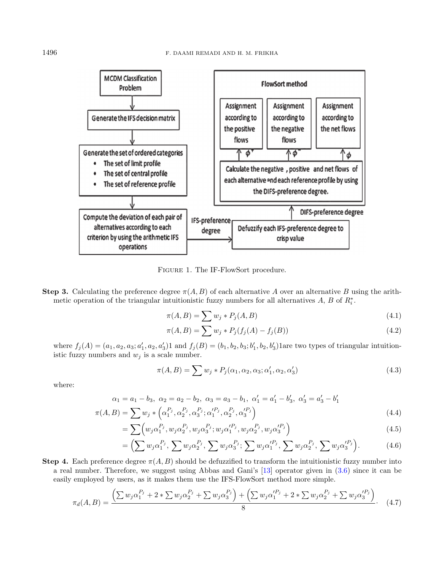

<span id="page-5-0"></span>Figure 1. The IF-FlowSort procedure.

**Step 3.** Calculating the preference degree  $\pi(A, B)$  of each alternative A over an alternative B using the arithmetic operation of the triangular intuitionistic fuzzy numbers for all alternatives  $A, B$  of  $R_i^*$ .

$$
\pi(A, B) = \sum w_j * P_j(A, B) \tag{4.1}
$$

$$
\pi(A, B) = \sum w_j * P_j(f_j(A) - f_j(B))
$$
\n(4.2)

where  $f_j(A) = (a_1, a_2, a_3; a'_1, a_2, a'_3)$  and  $f_j(B) = (b_1, b_2, b_3; b'_1, b_2, b'_3)$  lare two types of triangular intuitionistic fuzzy numbers and  $w_j$  is a scale number.

$$
\pi(A,B) = \sum w_j * P_j(\alpha_1, \alpha_2, \alpha_3; \alpha'_1, \alpha_2, \alpha'_3)
$$
\n(4.3)

where:

$$
\alpha_1 = a_1 - b_3, \ \alpha_2 = a_2 - b_2, \ \alpha_3 = a_3 - b_1, \ \alpha'_1 = a'_1 - b'_3, \ \alpha'_3 = a'_3 - b'_1
$$
  

$$
\pi(A, B) = \sum w_j \ast \left(\alpha_1^{P_j}, \alpha_2^{P_j}, \alpha_3^{P_j}; \alpha_1^{P_j}, \alpha_2^{P_j}, \alpha_3^{P_j}\right)
$$
(4.4)

$$
= \sum_{j} \left( w_j \alpha_1^{P_j}, w_j \alpha_2^{P_j}, w_j \alpha_3^{P_j}; w_j \alpha_1'^{P_j}, w_j \alpha_2^{P_j}, w_j \alpha_3'^{P_j} \right) \tag{4.5}
$$

$$
= \Big(\sum w_j \alpha_1^{P_j}, \sum w_j \alpha_2^{P_j}, \sum w_j \alpha_3^{P_j}; \sum w_j \alpha_1^{P_j}, \sum w_j \alpha_2^{P_j}, \sum w_j \alpha_3^{P_j}\Big). \tag{4.6}
$$

Step 4. Each preference degree  $\pi(A, B)$  should be defuzzified to transform the intuitionistic fuzzy number into a real number. Therefore, we suggest using Abbas and Gani's [\[13\]](#page-10-17) operator given in [\(3.6\)](#page-4-0) since it can be easily employed by users, as it makes them use the IFS-FlowSort method more simple.

$$
\pi_d(A, B) = \frac{\left(\sum w_j \alpha_1^{P_j} + 2 * \sum w_j \alpha_2^{P_j} + \sum w_j \alpha_3^{P_j}\right) + \left(\sum w_j \alpha_1'^{P_j} + 2 * \sum w_j \alpha_2^{P_j} + \sum w_j \alpha_3'^{P_j}\right)}{8}.
$$
 (4.7)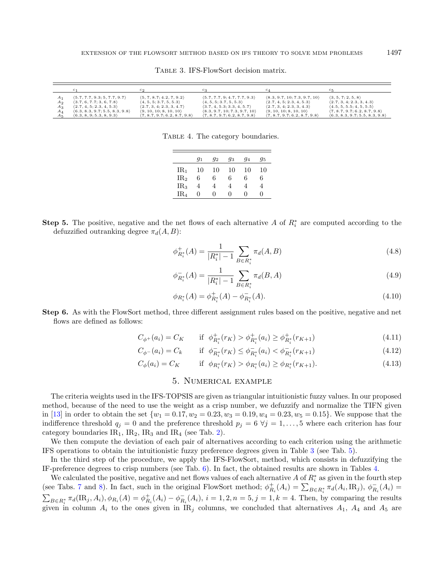|                                            |                                                                                                                                                                    | $c_{2}$                                                                                                                                                                  |                                                                                                                                                                      |                                                                                                                                                                                |                                                                                                                                                              |
|--------------------------------------------|--------------------------------------------------------------------------------------------------------------------------------------------------------------------|--------------------------------------------------------------------------------------------------------------------------------------------------------------------------|----------------------------------------------------------------------------------------------------------------------------------------------------------------------|--------------------------------------------------------------------------------------------------------------------------------------------------------------------------------|--------------------------------------------------------------------------------------------------------------------------------------------------------------|
| $A_{2}$<br>$A_3$<br>Aл<br>$A_{\mathbb{R}}$ | (5.7, 7.7, 9.3, 5, 7.7, 9.7)<br>(3.7, 6, 7.7, 3, 6, 7.8)<br>$\langle 2.7, 4, 5, 2.3, 4, 5.3 \rangle$<br>(6.3, 8.3, 9.7; 5.5, 8.3, 9.8)<br>(6.3, 8, 9, 5.3, 8, 9.3) | (5, 7, 8.7; 4.2, 7, 9.2)<br>$\langle 4, 5, 5, 3.7, 5, 5.3 \rangle$<br>$\langle 2.7, 3, 4, 2.3, 3, 4.7 \rangle$<br>(9, 10, 10, 8, 10, 10)<br>(7, 8.7, 9.7, 6.2, 8.7, 9.8) | (5.7, 7.7, 9; 4.7, 7.7, 9.3)<br>$\langle 4, 5, 5, 3.7, 5, 5.3 \rangle$<br>(3.7, 4, 5.3, 3.3, 4, 5.7)<br>(8.3, 9.7, 10; 7.3, 9.7, 10)<br>(7, 8.7, 9.7, 6.2, 8.7, 9.8) | (8.3, 9.7, 10; 7.3, 9.7, 10)<br>$\langle 2.7, 4, 5, 2.3, 4, 5.3 \rangle$<br>$\langle 2.7, 3, 4, 2.3, 3, 4.3 \rangle$<br>(9, 10, 10; 8, 10, 10)<br>(7, 8.7, 9.7, 6.2, 8.7, 9.8) | (3, 5, 7, 2, 5, 8)<br>$\langle 2.7, 3, 4, 2.3, 3, 4.3 \rangle$<br>(4.5, 5, 5.5; 4, 5, 5.5)<br>(7, 8.7, 9.7, 6.2, 8.7, 9.8)<br>(6.3, 8.3, 9.7; 5.5, 8.3, 9.8) |

<span id="page-6-1"></span><span id="page-6-0"></span>Table 3. IFS-FlowSort decision matrix.

TABLE 4. The category boundaries.

|                 | $g_1$        | $g_2$        | 93           | 94 | 95 |
|-----------------|--------------|--------------|--------------|----|----|
| IR1             | 10           | 10           | 10           | 10 | 10 |
| IR <sub>2</sub> | 6            | 6            | 6            | 6  | 6  |
| IR <sub>3</sub> | 4            | 4            | 4            | 4  | 4  |
| IR <sub>4</sub> | $\mathbf{0}$ | $\mathbf{0}$ | $\mathbf{0}$ | 0  | O  |

**Step 5.** The positive, negative and the net flows of each alternative A of  $R_i^*$  are computed according to the defuzzified outranking degree  $\pi_d(A, B)$ :

$$
\phi_{R_i^*}^+(A) = \frac{1}{|R_i^*| - 1} \sum_{B \in R_i^*} \pi_d(A, B) \tag{4.8}
$$

$$
\phi_{R_i^*}^-(A) = \frac{1}{|R_i^*| - 1} \sum_{B \in R_i^*} \pi_d(B, A)
$$
\n(4.9)

$$
\phi_{R_i^*}(A) = \phi_{R_i^*}^+(A) - \phi_{R_i^*}^-(A). \tag{4.10}
$$

Step 6. As with the FlowSort method, three different assignment rules based on the positive, negative and net flows are defined as follows:

$$
C_{\phi^+}(a_i) = C_K \qquad \text{if} \ \phi^+_{R_i^*}(r_K) > \phi^+_{R_i^*}(a_i) \ge \phi^+_{R_i^*}(r_{K+1}) \tag{4.11}
$$

$$
C_{\phi^{-}}(a_{i}) = C_{k} \qquad \text{if} \ \phi_{R_{i}^{*}}^{-}(r_{K}) \leq \phi_{R_{i}^{*}}^{-}(a_{i}) < \phi_{R_{i}^{*}}^{-}(r_{K+1}) \tag{4.12}
$$

$$
C_{\phi}(a_i) = C_K \qquad \text{if } \phi_{R_i^*}(r_K) > \phi_{R_i^*}(a_i) \ge \phi_{R_i^*}(r_{K+1}). \tag{4.13}
$$

#### 5. Numerical example

The criteria weights used in the IFS-TOPSIS are given as triangular intuitionistic fuzzy values. In our proposed method, because of the need to use the weight as a crisp number, we defuzzify and normalize the TIFN given in [\[13\]](#page-10-17) in order to obtain the set  $\{w_1 = 0.17, w_2 = 0.23, w_3 = 0.19, w_4 = 0.23, w_5 = 0.15\}$ . We suppose that the indifference threshold  $q_i = 0$  and the preference threshold  $p_i = 6 \forall j = 1, \ldots, 5$  where each criterion has four category boundaries  $IR_1$ ,  $IR_2$ ,  $IR_3$  and  $IR_4$  (see Tab. [2\)](#page-3-1).

We then compute the deviation of each pair of alternatives according to each criterion using the arithmetic IFS operations to obtain the intuitionistic fuzzy preference degrees given in Table [3](#page-6-0) (see Tab. [5\)](#page-7-0).

In the third step of the procedure, we apply the IFS-FlowSort, method, which consists in defuzzifying the IF-preference degrees to crisp numbers (see Tab. [6\)](#page-7-1). In fact, the obtained results are shown in Tables [4.](#page-6-1)

We calculated the positive, negative and net flows values of each alternative A of  $R_i^*$  as given in the fourth step (see Tabs. [7](#page-8-0) and [8\)](#page-8-1). In fact, such in the original FlowSort method;  $\phi_{R_i}^+(A_i) = \sum_{B \in R_i^*} \pi_d(A_i, \text{IR}_j)$ ,  $\phi_{R_i}^-(A_i) =$  $\sum_{B \in R_i^*} \pi_d(\text{IR}_j, A_i), \phi_{R_i}(A) = \phi_{R_i}^+(A_i) - \phi_{R_i}^-(A_i), i = 1, 2, n = 5, j = 1, k = 4$ . Then, by comparing the results given in column  $A_i$  to the ones given in IR<sub>j</sub> columns, we concluded that alternatives  $A_1$ ,  $A_4$  and  $A_5$  are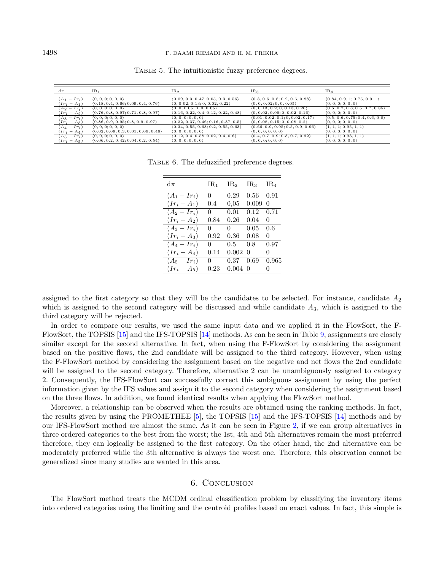#### 1498 F. DAAMI REMADI AND H. M. FRIKHA

| $d\pi$         | IR <sub>1</sub>                     | IR <sub>2</sub>                     | IR <sub>3</sub>                   | IR <sub>4</sub>                       |
|----------------|-------------------------------------|-------------------------------------|-----------------------------------|---------------------------------------|
| $(A_1 - Ir_i)$ | (0, 0, 0, 0, 0, 0)                  | (0.09, 0.3, 0.47; 0.05, 0.3, 0.56)  | (0.3, 0.6, 0.8, 0.2, 0.6, 0.88)   | (0.84, 0.9, 1; 0.75, 0.9, 1)          |
| $(Ir_i - A_1)$ | (0.18, 0.4, 0.66; 0.09, 0.4, 0.76)  | (0, 0.02, 0.13; 0, 0.02, 0.22)      | (0, 0, 0.02; 0, 0, 0.05)          | (0, 0, 0, 0, 0, 0)                    |
| $(A_2 - Ir_i)$ | (0, 0, 0, 0, 0, 0)                  | (0, 0, 0.05; 0, 0, 0.05)            | (0, 0.13, 0.2; 0, 0.13, 0.26)     | (0.6, 0.7, 0.8; 0.5, 0.7, 0.85)       |
| $(Ir_i - A_2)$ | (0.76, 0.8, 0.97; 0.71, 0.8, 0.97)  | (0.16, 0.22, 0.4; 0.12, 0.22, 0.48) | (0, 0.02, 0.09, 0, 0.02, 0.16)    | (0, 0, 0, 0, 0, 0)                    |
| $(A_3 - Ir_i)$ | (0, 0, 0, 0, 0, 0)                  | (0, 0, 0; 0, 0, 0)                  | (0.01, 0.02, 0.1; 0, 0.02, 0.17)  | (0.5, 0.6, 0.75; 0.4, 0.6, 0.8)       |
| $(Ir_i - A_3)$ | (0.86, 0.9, 0.95; 0.8, 0.9, 0.97)   | (0.22, 0.37, 0.46; 0.16, 0.37, 0.5) | (0, 0.08, 0.15; 0, 0.08, 0.2)     | (0, 0, 0, 0, 0, 0)                    |
| $(A_4 - Ir_i)$ | (0, 0, 0, 0, 0, 0)                  | (0.34, 0.55, 0.63; 0.2, 0.55, 0.63) | (0.66, 0.9, 0.95; 0.5, 0.9, 0.96) | $\langle 1, 1, 1; 0.95, 1, 1 \rangle$ |
| $(Ir_i - A_4)$ | (0.02, 0.09, 0.3; 0.01, 0.09, 0.46) | (0, 0, 0; 0, 0, 0)                  | (0, 0, 0; 0, 0, 0)                | (0, 0, 0; 0, 0, 0)                    |
| $(A_5 - Ir_i)$ | (0, 0, 0, 0, 0, 0)                  | (0.12, 0.4, 0.58; 0.02, 0.4, 0.6)   | (0.4, 0.7, 0.9, 0.3, 0.7, 0.92)   | $\langle 1, 1, 1; 0.93, 1, 1 \rangle$ |
| $(Ir_i - A_5)$ | (0.06, 0.2, 0.42; 0.04, 0.2, 0.54)  | (0, 0, 0, 0, 0, 0)                  | (0, 0, 0, 0, 0, 0)                | (0, 0, 0, 0, 0, 0)                    |

<span id="page-7-1"></span><span id="page-7-0"></span>Table 5. The intuitionistic fuzzy preference degrees.

TABLE 6. The defuzzified preference degrees.

| $d\pi$       | $\rm IR_{1}$ | IR <sub>2</sub> | IR <sub>3</sub> | IR4          |
|--------------|--------------|-----------------|-----------------|--------------|
| $(A_1-Ir_i)$ | 0.           | 0.29            | 0.56            | 0.91         |
| $(Ir_i-A_1)$ | 0.4          | 0.05            | 0.009           | $\mathbf{0}$ |
| $(A_2-Ir_i)$ | 0.           | 0.01            | 0.12            | 0.71         |
| $(Ir_i-A_2)$ | 0.84         | 0.26            | 0.04            | $\mathbf{0}$ |
| $(A_3-Ir_i)$ | $\Omega$     | $\Omega$        | 0.05            | 0.6          |
| $(Ir_i-A_3)$ | 0.92         | 0.36            | 0.08            | $\theta$     |
| $(A_4-Ir_i)$ | 0            | 0.5             | 0.8             | 0.97         |
| $(Ir_i-A_4)$ | 0.14         | 0.002           | 0               | $\mathbf{0}$ |
| $(A_5-Ir_i)$ | 0.           | 0.37            | 0.69            | 0.965        |
| $(Ir_i-A_5)$ | 0.23         | 0.004           | $\Omega$        |              |

assigned to the first category so that they will be the candidates to be selected. For instance, candidate  $A_2$ which is assigned to the second category will be discussed and while candidate  $A_3$ , which is assigned to the third category will be rejected.

In order to compare our results, we used the same input data and we applied it in the FlowSort, the F-FlowSort, the TOPSIS [\[15\]](#page-10-19) and the IFS-TOPSIS [\[14\]](#page-10-16) methods. As can be seen in Table [9,](#page-8-2) assignments are closely similar except for the second alternative. In fact, when using the F-FlowSort by considering the assignment based on the positive flows, the 2nd candidate will be assigned to the third category. However, when using the F-FlowSort method by considering the assignment based on the negative and net flows the 2nd candidate will be assigned to the second category. Therefore, alternative 2 can be unambiguously assigned to category 2. Consequently, the IFS-FlowSort can successfully correct this ambiguous assignment by using the perfect information given by the IFS values and assign it to the second category when considering the assignment based on the three flows. In addition, we found identical results when applying the FlowSort method.

Moreover, a relationship can be observed when the results are obtained using the ranking methods. In fact, the results given by using the PROMETHEE [\[5\]](#page-9-2), the TOPSIS [\[15\]](#page-10-19) and the IFS-TOPSIS [\[14\]](#page-10-16) methods and by our IFS-FlowSort method are almost the same. As it can be seen in Figure [2,](#page-9-9) if we can group alternatives in three ordered categories to the best from the worst; the 1st, 4th and 5th alternatives remain the most preferred therefore, they can logically be assigned to the first category. On the other hand, the 2nd alternative can be moderately preferred while the 3th alternative is always the worst one. Therefore, this observation cannot be generalized since many studies are wanted in this area.

#### 6. Conclusion

The FlowSort method treats the MCDM ordinal classification problem by classifying the inventory items into ordered categories using the limiting and the centroid profiles based on exact values. In fact, this simple is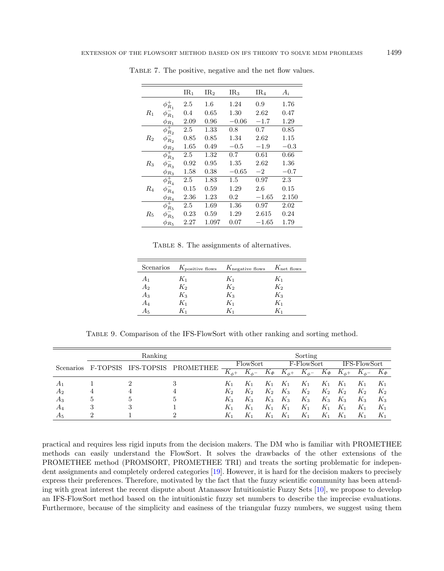<span id="page-8-1"></span>

|             |                    | IR <sub>1</sub> | IR <sub>2</sub> | IR <sub>3</sub> | IR <sub>4</sub> | $A_i$     |
|-------------|--------------------|-----------------|-----------------|-----------------|-----------------|-----------|
|             | $\phi_{R_1}^+$     | 2.5             | $1.6\,$         | 1.24            | 0.9             | 1.76      |
| $R_1$       | $\phi_{R_1}^-$     | 0.4             | 0.65            | 1.30            | 2.62            | 0.47      |
|             | $\phi_{R_1}$       | 2.09            | 0.96            | $-0.06$         | $-1.7$          | 1.29      |
|             | $\phi_{R_2}^+$     | 2.5             | 1.33            | 0.8             | 0.7             | 0.85      |
| $R_2$       | $\phi_{R_2}$       | 0.85            | 0.85            | 1.34            | 2.62            | 1.15      |
|             | $\phi_{R_2}$       | 1.65            | 0.49            | $-0.5$          | $-1.9$          | $-0.3\,$  |
|             | $\phi_{R_3}^+$     | 2.5             | 1.32            | 0.7             | 0.61            | 0.66      |
| $R_3$       | $\phi_{R_3}^-$     | 0.92            | 0.95            | 1.35            | 2.62            | $1.36\,$  |
|             | $\phi_{R_3}$       | 1.58            | 0.38            | $-0.65$         | $-2$            | $-0.7$    |
|             | $\phi_{R_{4}}^{+}$ | 2.5             | 1.83            | $1.5\,$         | 0.97            | 2.3       |
| R4          | $\phi_{R_{4}}^{-}$ | 0.15            | 0.59            | 1.29            | 2.6             | 0.15      |
|             | $\phi_{R_{4}}$     | 2.36            | 1.23            | $0.2\,$         | $-1.65$         | $2.150\,$ |
|             | $\phi_{R_5}^+$     | 2.5             | 1.69            | 1.36            | 0.97            | 2.02      |
| $R_{\rm 5}$ | $\phi_{R_5}$       | 0.23            | 0.59            | 1.29            | 2.615           | 0.24      |
|             | $\phi_{R_5}$       | 2.27            | 1.097           | 0.07            | $-1.65$         | 1.79      |

<span id="page-8-0"></span>TABLE 7. The positive, negative and the net flow values.

<span id="page-8-2"></span>TABLE 8. The assignments of alternatives.

|                |       | Scenarios $K_{\text{positive flows}}$ $K_{\text{negative flows}}$ $K_{\text{net flows}}$ |       |
|----------------|-------|------------------------------------------------------------------------------------------|-------|
| $A_1$          | $K_1$ | $K_1$                                                                                    | $K_1$ |
| A <sub>2</sub> | $K_2$ | $K_2$                                                                                    | $K_2$ |
| $A_3$          | $K_3$ | $K_3$                                                                                    | $K_3$ |
| $A_4$          | $K_1$ | $K_1$                                                                                    | $K_1$ |
| А5             | K1    | K1                                                                                       | K1    |
|                |       |                                                                                          |       |

Table 9. Comparison of the IFS-FlowSort with other ranking and sorting method.

| Ranking                      |            |                  |    |              |             |            | Sorting                 |              |                     |              |              |                     |
|------------------------------|------------|------------------|----|--------------|-------------|------------|-------------------------|--------------|---------------------|--------------|--------------|---------------------|
| F-TOPSIS<br><b>Scenarios</b> | IFS-TOPSIS | <b>PROMETHEE</b> |    | FlowSort     |             | F-FlowSort |                         |              | <b>IFS-FlowSort</b> |              |              |                     |
|                              |            |                  |    | $K_{\phi^+}$ | $K_{\phi-}$ | $K_{\Phi}$ | $\overline{K}_{\phi^+}$ | $K_{\phi^-}$ | $K_{\varPhi}$       | $K_{\phi^+}$ | $K_{\phi^-}$ | $K_{\mathbf{\Phi}}$ |
| $A_1$                        |            |                  |    | $K_1$        | $K_1$       | $K_1$      | $K_1$                   | $K_1$        | $K_1$               | $K_1$        | $K_1$        | $K_1$               |
| A <sub>2</sub>               | 4          | 4                | 4  | $K_2$        | $K_2$       | $K_2$      | $K_3$                   | $K_2$        | $K_2$               | $K_2$        | $K_2$        | $K_2$               |
| $A_3$                        | 5          |                  | h, | $K_3$        | $K_3$       | $K_3$      | $K_3$                   | $K_3$        | $K_3$               | $K_3$        | $K_3$        | $K_3$               |
| A4                           | 3          |                  |    | $K_1$        | $K_1$       | $_{K_1}$   | $K_1$                   | $K_1$        | $K_1$               | $K_1$        | $K_1$        | $K_1$               |
| $A_5$                        | ച          |                  |    | $K_1$        | $K_1$       | K,         | $_{K_{1}}$              | $K_1$        | K1                  | $K_1$        | $K_1$        | $K_1$               |

practical and requires less rigid inputs from the decision makers. The DM who is familiar with PROMETHEE methods can easily understand the FlowSort. It solves the drawbacks of the other extensions of the PROMETHEE method (PROMSORT, PROMETHEE TRI) and treats the sorting problematic for independent assignments and completely ordered categories [\[19\]](#page-10-7). However, it is hard for the decision makers to precisely express their preferences. Therefore, motivated by the fact that the fuzzy scientific community has been attending with great interest the recent dispute about Atanassov Intuitionistic Fuzzy Sets [\[10\]](#page-9-10), we propose to develop an IFS-FlowSort method based on the intuitionistic fuzzy set numbers to describe the imprecise evaluations. Furthermore, because of the simplicity and easiness of the triangular fuzzy numbers, we suggest using them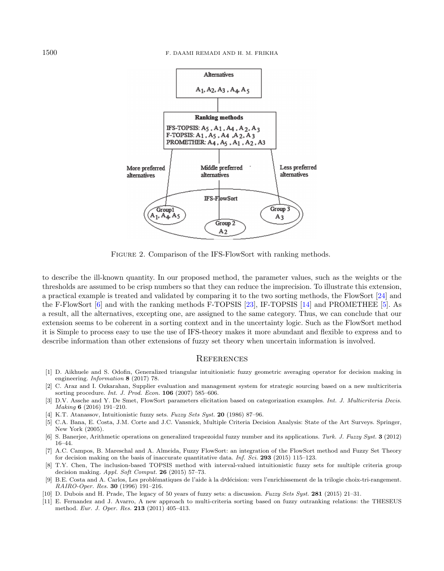<span id="page-9-9"></span>

FIGURE 2. Comparison of the IFS-FlowSort with ranking methods.

<span id="page-9-7"></span><span id="page-9-6"></span><span id="page-9-3"></span><span id="page-9-2"></span>to describe the ill-known quantity. In our proposed method, the parameter values, such as the weights or the thresholds are assumed to be crisp numbers so that they can reduce the imprecision. To illustrate this extension, a practical example is treated and validated by comparing it to the two sorting methods, the FlowSort [\[24\]](#page-10-5) and the F-FlowSort [\[6\]](#page-9-8) and with the ranking methods F-TOPSIS [\[23\]](#page-10-15), IF-TOPSIS [\[14\]](#page-10-16) and PROMETHEE [\[5\]](#page-9-2). As a result, all the alternatives, excepting one, are assigned to the same category. Thus, we can conclude that our extension seems to be coherent in a sorting context and in the uncertainty logic. Such as the FlowSort method it is Simple to process easy to use the use of IFS-theory makes it more abundant and flexible to express and to describe information than other extensions of fuzzy set theory when uncertain information is involved.

#### **REFERENCES**

- <span id="page-9-8"></span><span id="page-9-5"></span><span id="page-9-4"></span><span id="page-9-0"></span>[1] D. Aikhuele and S. Odofin, Generalized triangular intuitionistic fuzzy geometric averaging operator for decision making in engineering. Information 8 (2017) 78.
- <span id="page-9-10"></span>[2] C. Araz and I. Ozkarahan, Supplier evaluation and management system for strategic sourcing based on a new multicriteria sorting procedure. Int. J. Prod. Econ. 106 (2007) 585–606.
- <span id="page-9-1"></span>[3] D.V. Assche and Y. De Smet, FlowSort parameters elicitation based on categorization examples. Int. J. Multicriteria Decis. Making 6 (2016) 191–210.
- [4] K.T. Atanassov, Intuitionistic fuzzy sets. Fuzzy Sets Syst. 20 (1986) 87–96.
- [5] C.A. Bana, E. Costa, J.M. Corte and J.C. Vansnick, Multiple Criteria Decision Analysis: State of the Art Surveys. Springer, New York (2005).
- [6] S. Banerjee, Arithmetic operations on generalized trapezoidal fuzzy number and its applications. Turk. J. Fuzzy Syst. 3 (2012) 16–44.
- [7] A.C. Campos, B. Mareschal and A. Almeida, Fuzzy FlowSort: an integration of the FlowSort method and Fuzzy Set Theory for decision making on the basis of inaccurate quantitative data. Inf. Sci. 293 (2015) 115–123.
- [8] T.Y. Chen, The inclusion-based TOPSIS method with interval-valued intuitionistic fuzzy sets for multiple criteria group decision making. Appl. Soft Comput. 26 (2015) 57–73.
- [9] B.E. Costa and A. Carlos, Les problématiques de l'aide à la d'décision: vers l'enrichissement de la trilogie choix-tri-rangement. RAIRO-Oper. Res. 30 (1996) 191–216.
- [10] D. Dubois and H. Prade, The legacy of 50 years of fuzzy sets: a discussion. Fuzzy Sets Syst. 281 (2015) 21–31.
- [11] E. Fernandez and J. Avarro, A new approach to multi-criteria sorting based on fuzzy outranking relations: the THESEUS method. Eur. J. Oper. Res. 213 (2011) 405–413.